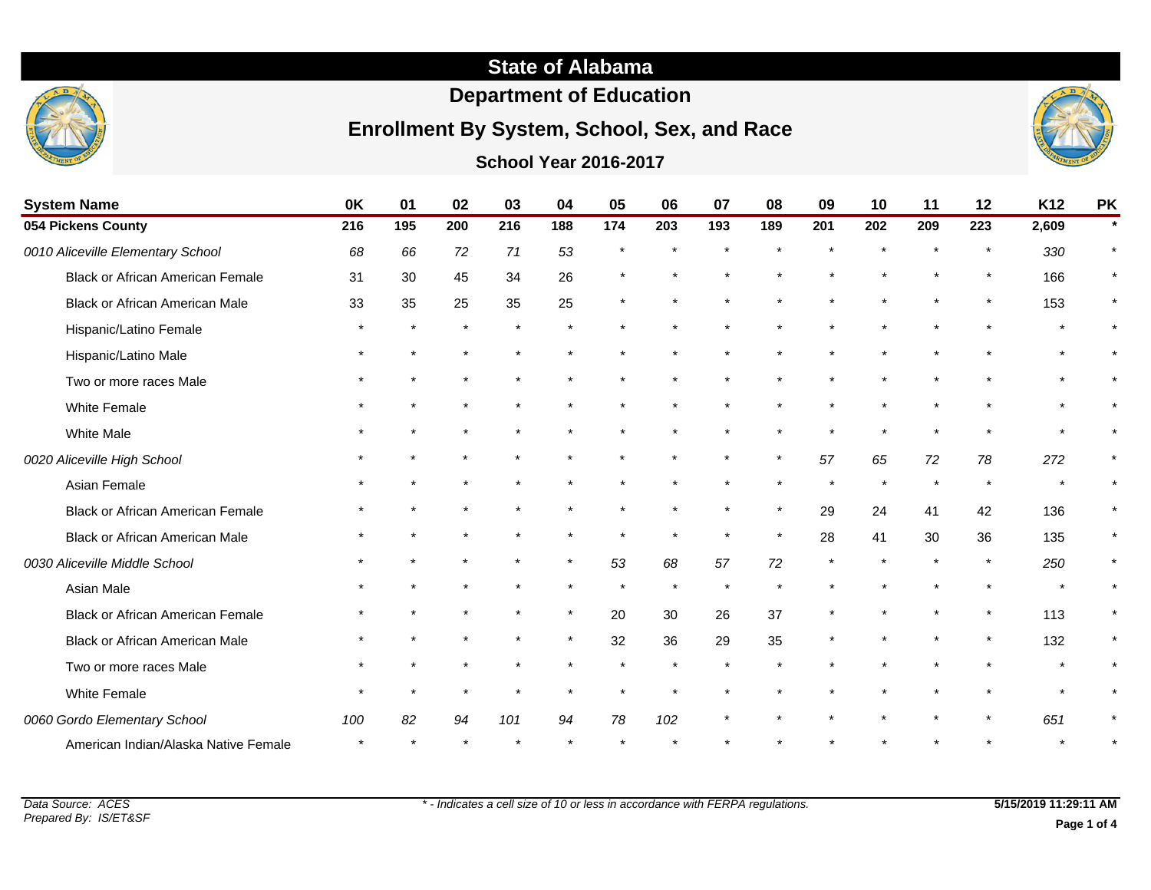## **State of Alabama**

## **Department of Education**

## **Enrollment By System, School, Sex, and Race**

### **School Year 2016-2017**



| <b>System Name</b>                      | 0K  | 01      | 02      | 03  | 04      | 05      | 06      | 07  | 08      | 09      | 10  | 11      | 12      | K <sub>12</sub> | <b>PK</b> |
|-----------------------------------------|-----|---------|---------|-----|---------|---------|---------|-----|---------|---------|-----|---------|---------|-----------------|-----------|
| 054 Pickens County                      | 216 | 195     | 200     | 216 | 188     | 174     | 203     | 193 | 189     | 201     | 202 | 209     | 223     | 2,609           |           |
| 0010 Aliceville Elementary School       | 68  | 66      | 72      | 71  | 53      |         |         |     |         |         |     |         | $\star$ | 330             |           |
| <b>Black or African American Female</b> | 31  | 30      | 45      | 34  | 26      |         |         |     |         |         |     | $\star$ | $\star$ | 166             |           |
| Black or African American Male          | 33  | 35      | 25      | 35  | 25      | $\star$ |         |     |         |         |     | $\star$ | $\star$ | 153             |           |
| Hispanic/Latino Female                  |     | $\star$ |         |     |         |         |         |     |         |         |     |         |         |                 |           |
| Hispanic/Latino Male                    |     |         | $\star$ |     |         |         |         |     |         |         |     |         |         |                 |           |
| Two or more races Male                  |     |         |         |     |         |         |         |     |         |         |     |         |         |                 |           |
| <b>White Female</b>                     |     | $\star$ | $\star$ |     |         |         |         |     |         |         |     |         |         |                 |           |
| White Male                              |     |         |         |     |         |         |         |     |         |         |     |         |         |                 |           |
| 0020 Aliceville High School             |     |         | $\star$ |     |         |         | $\star$ |     | $\star$ | 57      | 65  | 72      | 78      | 272             |           |
| Asian Female                            |     |         |         |     |         |         |         |     |         |         |     |         |         |                 |           |
| Black or African American Female        |     |         |         |     |         |         |         |     | $\star$ | 29      | 24  | 41      | 42      | 136             |           |
| <b>Black or African American Male</b>   |     |         |         |     |         |         | $\star$ |     | $\star$ | 28      | 41  | 30      | 36      | 135             | $\ast$    |
| 0030 Aliceville Middle School           |     |         |         |     | $\star$ | 53      | 68      | 57  | 72      | $\star$ |     | $\star$ | $\star$ | 250             |           |
| Asian Male                              |     |         |         |     |         |         |         |     |         |         |     |         |         |                 |           |

Data Source: ACES Prepared By: IS/ET&SF

Black or African American Female \*\*\*\*\*\*\*\*\* \*\* 20 30 26 37 \*\*\*\*\*\*\* 113 \* Black or African American Male \* \* \* \* \* \* \* 32 36 29 35 \* \* \* \* \* 132 \* Two or more races Male **the above that a set of the set of the set of the set of the set of the set of the set of the set of the set of the set of the set of the set of the set of the set of the set of the set of the set o** White Female \* \* \* \* \* \* \* \* \* \* \* \* \* \* \*

American Indian/Alaska Native Female \* \* \* \* \* \* \* \* \* \* \* \* \* \* \*

0060 Gordo Elementary School **100** 82 94 101 94 78 102 \* \* \* \* \* \* \* \* \* 651

**Page 1 of 4**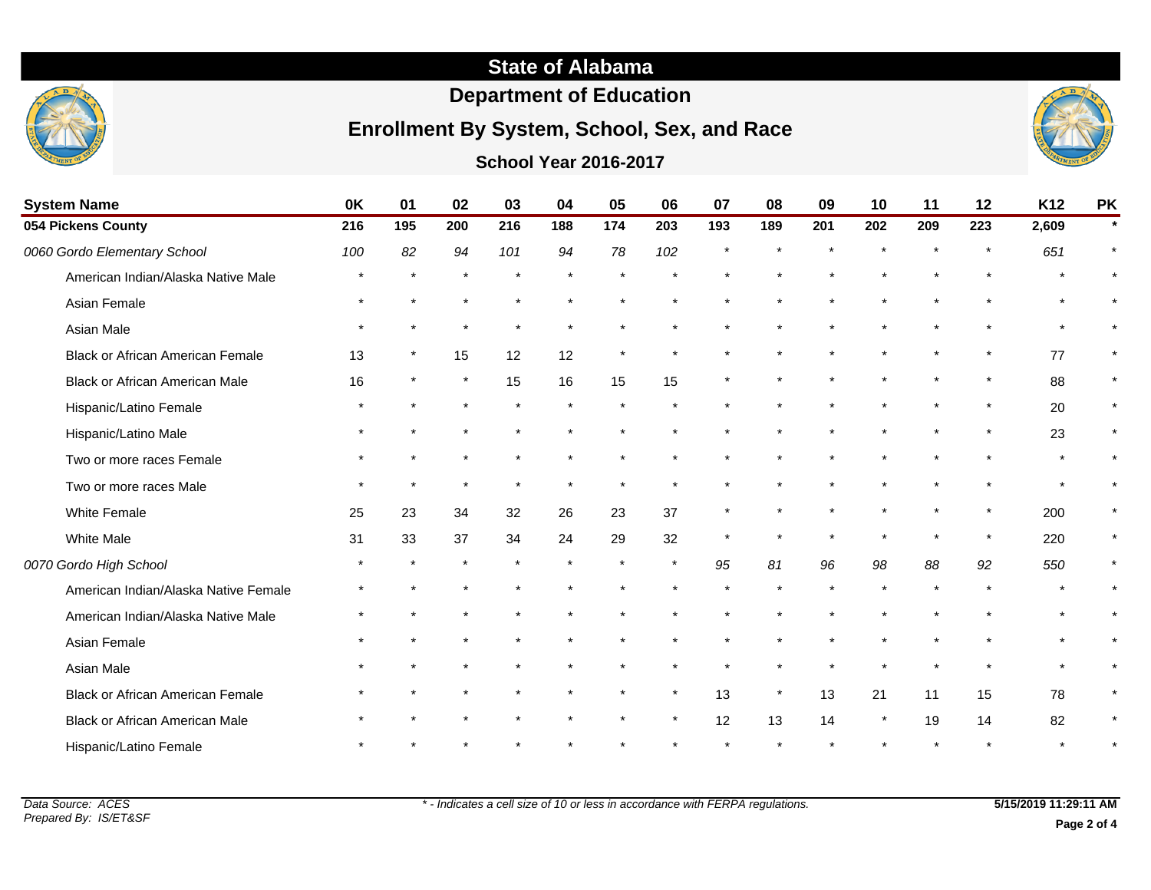# **State of Alabama**

# **Department of Education**

# **Enrollment By System, School, Sex, and Race**

### **School Year 2016-2017**



| <b>System Name</b>                      | 0K      | 01       | 02  | 03      | 04  | 05  | 06      | 07  | 08      | 09  | 10      | 11  | 12  | K <sub>12</sub> | <b>PK</b> |
|-----------------------------------------|---------|----------|-----|---------|-----|-----|---------|-----|---------|-----|---------|-----|-----|-----------------|-----------|
| 054 Pickens County                      | 216     | 195      | 200 | 216     | 188 | 174 | 203     | 193 | 189     | 201 | 202     | 209 | 223 | 2,609           | $\star$   |
| 0060 Gordo Elementary School            | 100     | 82       | 94  | 101     | 94  | 78  | 102     |     |         |     |         |     |     | 651             | $\star$   |
| American Indian/Alaska Native Male      |         |          |     |         |     |     |         |     |         |     |         |     |     |                 |           |
| Asian Female                            |         |          |     |         |     |     |         |     |         |     |         |     |     |                 |           |
| Asian Male                              | $\star$ | $\star$  |     | $\star$ |     |     |         |     |         |     |         |     |     |                 |           |
| <b>Black or African American Female</b> | 13      | $\star$  | 15  | 12      | 12  |     |         |     |         |     |         |     |     | 77              | $\star$   |
| Black or African American Male          | 16      | $^\star$ |     | 15      | 16  | 15  | 15      |     |         |     |         |     |     | 88              | $\star$   |
| Hispanic/Latino Female                  |         |          |     |         |     |     |         |     |         |     |         |     |     | 20              | $\star$   |
| Hispanic/Latino Male                    |         |          |     |         |     |     |         |     |         |     |         |     |     | 23              | $\star$   |
| Two or more races Female                |         |          |     |         |     |     |         |     |         |     |         |     |     |                 |           |
| Two or more races Male                  |         |          |     |         |     |     |         |     |         |     |         |     |     |                 |           |
| White Female                            | 25      | 23       | 34  | 32      | 26  | 23  | 37      |     |         |     |         |     |     | 200             |           |
| <b>White Male</b>                       | 31      | 33       | 37  | 34      | 24  | 29  | 32      |     |         |     |         |     |     | 220             | $\star$   |
| 0070 Gordo High School                  |         |          |     |         |     |     | $\star$ | 95  | 81      | 96  | 98      | 88  | 92  | 550             | $\ast$    |
| American Indian/Alaska Native Female    |         |          |     |         |     |     |         |     |         |     |         |     |     |                 |           |
| American Indian/Alaska Native Male      |         |          |     |         |     |     |         |     |         |     |         |     |     |                 |           |
| Asian Female                            |         |          |     |         |     |     |         |     |         |     |         |     |     |                 |           |
| Asian Male                              |         |          |     |         |     |     |         |     |         |     |         |     |     |                 |           |
| <b>Black or African American Female</b> |         |          |     |         |     |     | $\star$ | 13  | $\star$ | 13  | 21      | 11  | 15  | 78              | $\star$   |
| Black or African American Male          |         |          |     |         |     |     | $\star$ | 12  | 13      | 14  | $\star$ | 19  | 14  | 82              |           |
| Hispanic/Latino Female                  |         |          |     |         |     |     |         |     |         |     |         |     |     |                 |           |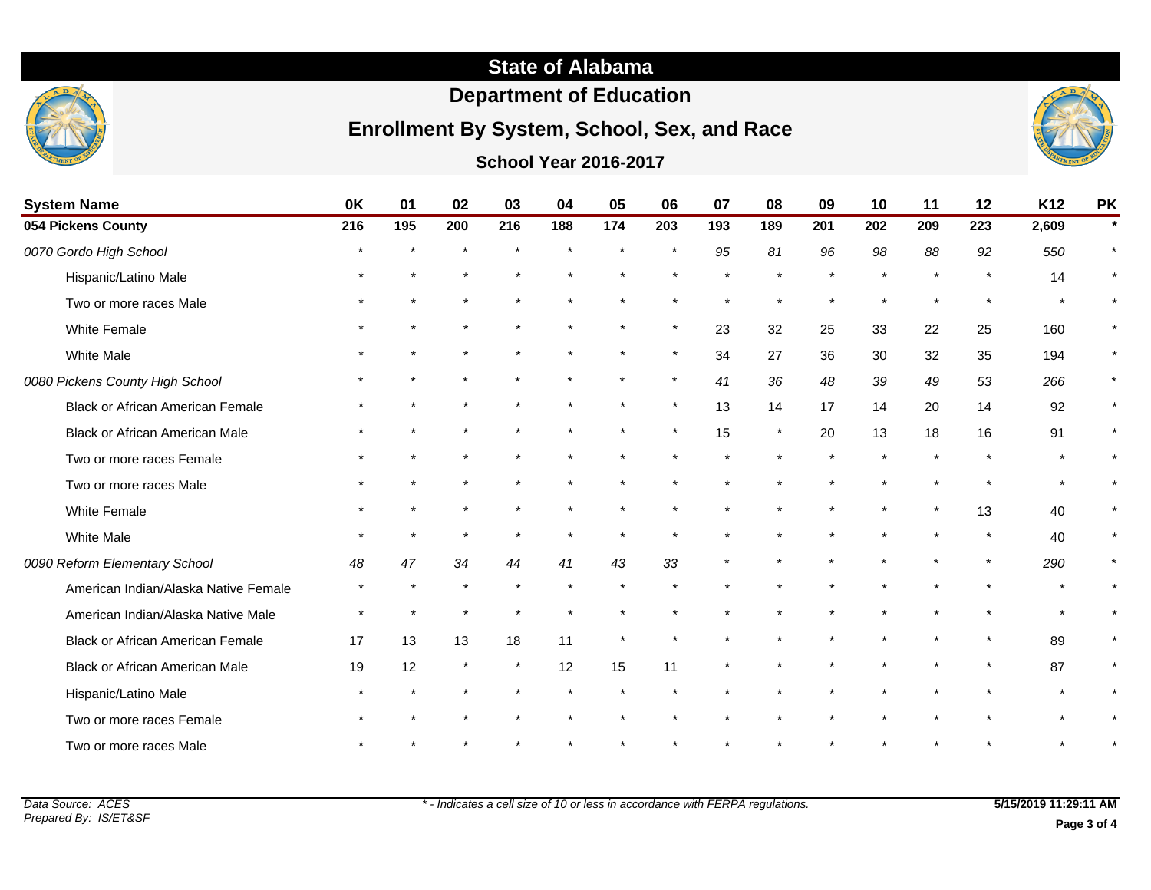

# **Department of Education**

# **Enrollment By System, School, Sex, and Race**



**School Year 2016-2017**

| <b>System Name</b>                      | 0K  | 01  | 02      | 03      | 04      | 05      | 06      | 07  | 08  | 09  | 10  | 11      | 12      | K12   | <b>PK</b> |
|-----------------------------------------|-----|-----|---------|---------|---------|---------|---------|-----|-----|-----|-----|---------|---------|-------|-----------|
| 054 Pickens County                      | 216 | 195 | 200     | 216     | 188     | 174     | 203     | 193 | 189 | 201 | 202 | 209     | 223     | 2,609 |           |
| 0070 Gordo High School                  |     |     |         |         | $\star$ | $\star$ | $\star$ | 95  | 81  | 96  | 98  | 88      | 92      | 550   |           |
| Hispanic/Latino Male                    |     |     |         |         |         |         |         |     |     |     |     |         |         | 14    |           |
| Two or more races Male                  |     |     |         |         |         |         |         |     |     |     |     |         |         |       | $\ast$    |
| White Female                            |     |     |         |         |         |         | $\star$ | 23  | 32  | 25  | 33  | 22      | 25      | 160   |           |
| <b>White Male</b>                       |     |     |         |         |         |         | $\star$ | 34  | 27  | 36  | 30  | 32      | 35      | 194   |           |
| 0080 Pickens County High School         |     |     |         |         |         |         | $\star$ | 41  | 36  | 48  | 39  | 49      | 53      | 266   |           |
| <b>Black or African American Female</b> |     |     |         |         |         |         | $\star$ | 13  | 14  | 17  | 14  | 20      | 14      | 92    | $\star$   |
| <b>Black or African American Male</b>   |     |     |         |         |         |         | $\ast$  | 15  |     | 20  | 13  | 18      | 16      | 91    |           |
| Two or more races Female                |     |     |         |         |         |         |         |     |     |     |     | $\star$ |         |       |           |
| Two or more races Male                  |     |     |         |         |         |         |         |     |     |     |     |         | $\star$ |       | $\star$   |
| <b>White Female</b>                     |     |     |         |         |         |         |         |     |     |     |     | $\star$ | 13      | 40    | $\star$   |
| <b>White Male</b>                       |     |     |         |         |         |         |         |     |     |     |     |         | $\star$ | 40    | $\star$   |
| 0090 Reform Elementary School           | 48  | 47  | 34      | 44      | 41      | 43      | 33      |     |     |     |     |         |         | 290   | $\star$   |
| American Indian/Alaska Native Female    |     |     | $\star$ |         |         |         |         |     |     |     |     |         |         |       |           |
| American Indian/Alaska Native Male      |     |     |         |         |         |         |         |     |     |     |     |         |         |       |           |
| <b>Black or African American Female</b> | 17  | 13  | 13      | 18      | 11      |         |         |     |     |     |     |         |         | 89    |           |
| <b>Black or African American Male</b>   | 19  | 12  |         | $\star$ | 12      | 15      | 11      |     |     |     |     |         |         | 87    |           |
| Hispanic/Latino Male                    |     |     |         |         |         |         |         |     |     |     |     |         |         |       |           |
| Two or more races Female                |     |     |         |         |         |         |         |     |     |     |     |         |         |       |           |
| Two or more races Male                  |     |     |         |         |         |         |         |     |     |     |     |         |         |       |           |